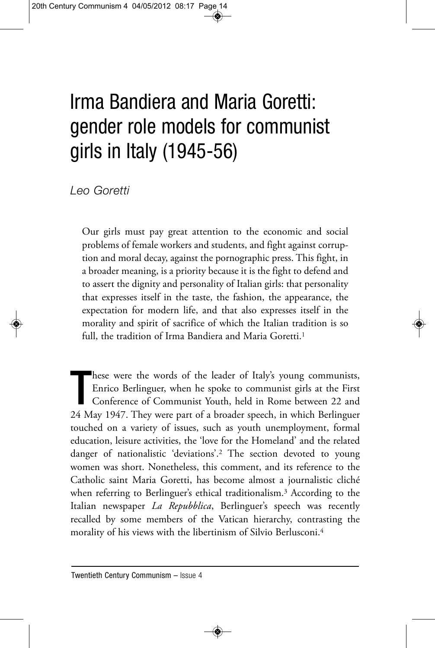# Irma Bandiera and Maria Goretti: gender role models for communist girls in Italy (1945-56)

*Leo Goretti*

Our girls must pay great attention to the economic and social problems of female workers and students, and fight against corruption and moral decay, against the pornographic press. This fight, in a broader meaning, is a priority because it is the fight to defend and to assert the dignity and personality of Italian girls: that personality that expresses itself in the taste, the fashion, the appearance, the expectation for modern life, and that also expresses itself in the morality and spirit of sacrifice of which the Italian tradition is so full, the tradition of Irma Bandiera and Maria Goretti.<sup>1</sup>

hese were the words of the leader of Italy's young communists,<br>Enrico Berlinguer, when he spoke to communist girls at the First<br>Conference of Communist Youth, held in Rome between 22 and<br>24 May 1947. They were part of a br hese were the words of the leader of Italy's young communists, Enrico Berlinguer, when he spoke to communist girls at the First Conference of Communist Youth, held in Rome between 22 and touched on a variety of issues, such as youth unemployment, formal education, leisure activities, the 'love for the Homeland' and the related danger of nationalistic 'deviations'.2 The section devoted to young women was short. Nonetheless, this comment, and its reference to the Catholic saint Maria Goretti, has become almost a journalistic cliché when referring to Berlinguer's ethical traditionalism.<sup>3</sup> According to the Italian newspaper *La Repubblica*, Berlinguer's speech was recently recalled by some members of the Vatican hierarchy, contrasting the morality of his views with the libertinism of Silvio Berlusconi.4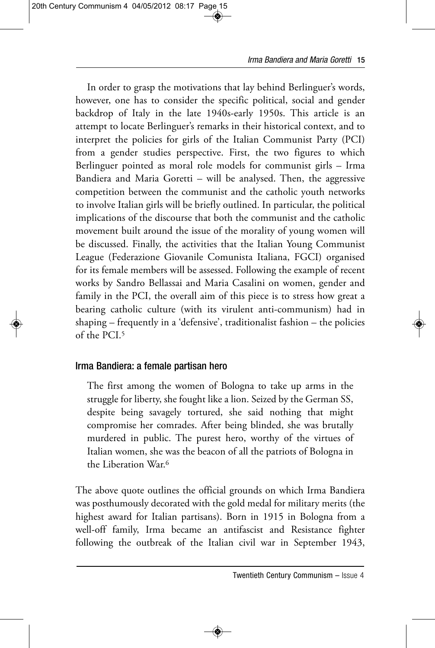In order to grasp the motivations that lay behind Berlinguer's words, however, one has to consider the specific political, social and gender backdrop of Italy in the late 1940s-early 1950s. This article is an attempt to locate Berlinguer's remarks in their historical context, and to interpret the policies for girls of the Italian Communist Party (PCI) from a gender studies perspective. First, the two figures to which Berlinguer pointed as moral role models for communist girls – Irma Bandiera and Maria Goretti – will be analysed. Then, the aggressive competition between the communist and the catholic youth networks to involve Italian girls will be briefly outlined. In particular, the political implications of the discourse that both the communist and the catholic movement built around the issue of the morality of young women will be discussed. Finally, the activities that the Italian Young Communist League (Federazione Giovanile Comunista Italiana, FGCI) organised for its female members will be assessed. Following the example of recent works by Sandro Bellassai and Maria Casalini on women, gender and family in the PCI, the overall aim of this piece is to stress how great a bearing catholic culture (with its virulent anti-communism) had in shaping – frequently in a 'defensive', traditionalist fashion – the policies of the PCI.5

## Irma Bandiera: a female partisan hero

The first among the women of Bologna to take up arms in the struggle for liberty, she fought like a lion. Seized by the German SS, despite being savagely tortured, she said nothing that might compromise her comrades. After being blinded, she was brutally murdered in public. The purest hero, worthy of the virtues of Italian women, she was the beacon of all the patriots of Bologna in the Liberation War.6

The above quote outlines the official grounds on which Irma Bandiera was posthumously decorated with the gold medal for military merits (the highest award for Italian partisans). Born in 1915 in Bologna from a well-off family, Irma became an antifascist and Resistance fighter following the outbreak of the Italian civil war in September 1943,

Twentieth Century Communism – Issue 4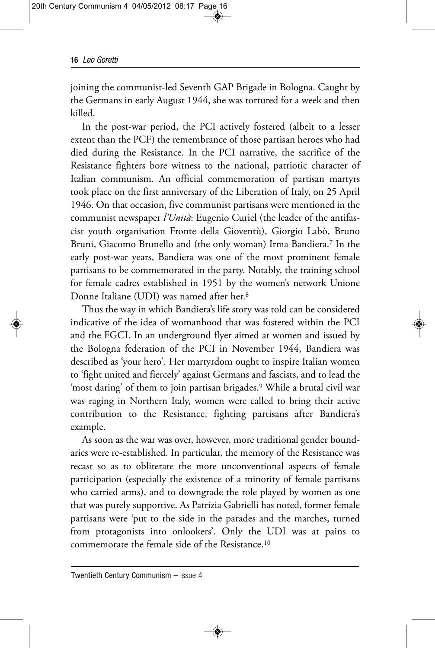joining the communist-led Seventh GAP Brigade in Bologna. Caught by the Germans in early August 1944, she was tortured for a week and then killed.

In the post-war period, the PCI actively fostered (albeit to a lesser extent than the PCF) the remembrance of those partisan heroes who had died during the Resistance. In the PCI narrative, the sacrifice of the Resistance fighters bore witness to the national, patriotic character of Italian communism. An official commemoration of partisan martyrs took place on the first anniversary of the Liberation of Italy, on 25 April 1946. On that occasion, five communist partisans were mentioned in the communist newspaper *l'Unità*: Eugenio Curiel (the leader of the antifascist youth organisation Fronte della Gioventù), Giorgio Labò, Bruno Bruni, Giacomo Brunello and (the only woman) Irma Bandiera.7 In the early post-war years, Bandiera was one of the most prominent female partisans to be commemorated in the party. Notably, the training school for female cadres established in 1951 by the women's network Unione Donne Italiane (UDI) was named after her.8

Thus the way in which Bandiera's life story was told can be considered indicative of the idea of womanhood that was fostered within the PCI and the FGCI. In an underground flyer aimed at women and issued by the Bologna federation of the PCI in November 1944, Bandiera was described as 'your hero'. Her martyrdom ought to inspire Italian women to 'fight united and fiercely' against Germans and fascists, and to lead the 'most daring' of them to join partisan brigades.<sup>9</sup> While a brutal civil war was raging in Northern Italy, women were called to bring their active contribution to the Resistance, fighting partisans after Bandiera's example.

As soon as the war was over, however, more traditional gender boundaries were re-established. In particular, the memory of the Resistance was recast so as to obliterate the more unconventional aspects of female participation (especially the existence of a minority of female partisans who carried arms), and to downgrade the role played by women as one that was purely supportive. As Patrizia Gabrielli has noted, former female partisans were 'put to the side in the parades and the marches, turned from protagonists into onlookers'. Only the UDI was at pains to commemorate the female side of the Resistance.10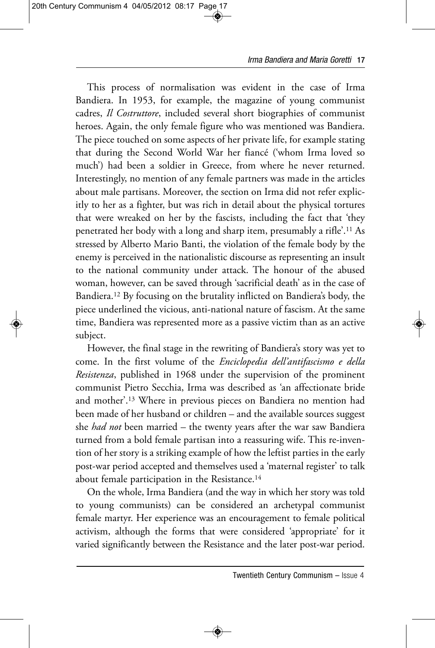This process of normalisation was evident in the case of Irma Bandiera. In 1953, for example, the magazine of young communist cadres, *Il Costruttore*, included several short biographies of communist heroes. Again, the only female figure who was mentioned was Bandiera. The piece touched on some aspects of her private life, for example stating that during the Second World War her fiancé ('whom Irma loved so much') had been a soldier in Greece, from where he never returned. Interestingly, no mention of any female partners was made in the articles about male partisans. Moreover, the section on Irma did not refer explicitly to her as a fighter, but was rich in detail about the physical tortures that were wreaked on her by the fascists, including the fact that 'they penetrated her body with a long and sharp item, presumably a rifle'.11 As stressed by Alberto Mario Banti, the violation of the female body by the enemy is perceived in the nationalistic discourse as representing an insult to the national community under attack. The honour of the abused woman, however, can be saved through 'sacrificial death' as in the case of Bandiera.12 By focusing on the brutality inflicted on Bandiera's body, the piece underlined the vicious, anti-national nature of fascism. At the same time, Bandiera was represented more as a passive victim than as an active subject.

However, the final stage in the rewriting of Bandiera's story was yet to come. In the first volume of the *Enciclopedia dell'antifascismo e della Resistenza*, published in 1968 under the supervision of the prominent communist Pietro Secchia, Irma was described as 'an affectionate bride and mother'.13 Where in previous pieces on Bandiera no mention had been made of her husband or children – and the available sources suggest she *had not* been married – the twenty years after the war saw Bandiera turned from a bold female partisan into a reassuring wife. This re-invention of her story is a striking example of how the leftist parties in the early post-war period accepted and themselves used a 'maternal register' to talk about female participation in the Resistance.<sup>14</sup>

On the whole, Irma Bandiera (and the way in which her story was told to young communists) can be considered an archetypal communist female martyr. Her experience was an encouragement to female political activism, although the forms that were considered 'appropriate' for it varied significantly between the Resistance and the later post-war period.

Twentieth Century Communism – Issue 4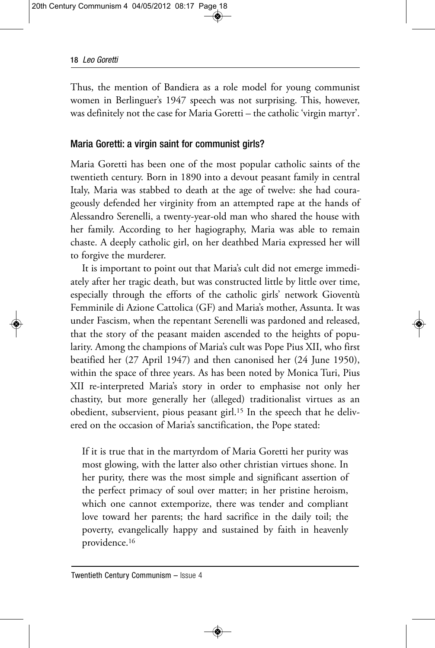Thus, the mention of Bandiera as a role model for young communist women in Berlinguer's 1947 speech was not surprising. This, however, was definitely not the case for Maria Goretti – the catholic 'virgin martyr'.

## Maria Goretti: a virgin saint for communist girls?

Maria Goretti has been one of the most popular catholic saints of the twentieth century. Born in 1890 into a devout peasant family in central Italy, Maria was stabbed to death at the age of twelve: she had courageously defended her virginity from an attempted rape at the hands of Alessandro Serenelli, a twenty-year-old man who shared the house with her family. According to her hagiography, Maria was able to remain chaste. A deeply catholic girl, on her deathbed Maria expressed her will to forgive the murderer.

It is important to point out that Maria's cult did not emerge immediately after her tragic death, but was constructed little by little over time, especially through the efforts of the catholic girls' network Gioventù Femminile di Azione Cattolica (GF) and Maria's mother, Assunta. It was under Fascism, when the repentant Serenelli was pardoned and released, that the story of the peasant maiden ascended to the heights of popularity. Among the champions of Maria's cult was Pope Pius XII, who first beatified her (27 April 1947) and then canonised her (24 June 1950), within the space of three years. As has been noted by Monica Turi, Pius XII re-interpreted Maria's story in order to emphasise not only her chastity, but more generally her (alleged) traditionalist virtues as an obedient, subservient, pious peasant girl.15 In the speech that he delivered on the occasion of Maria's sanctification, the Pope stated:

If it is true that in the martyrdom of Maria Goretti her purity was most glowing, with the latter also other christian virtues shone. In her purity, there was the most simple and significant assertion of the perfect primacy of soul over matter; in her pristine heroism, which one cannot extemporize, there was tender and compliant love toward her parents; the hard sacrifice in the daily toil; the poverty, evangelically happy and sustained by faith in heavenly providence.16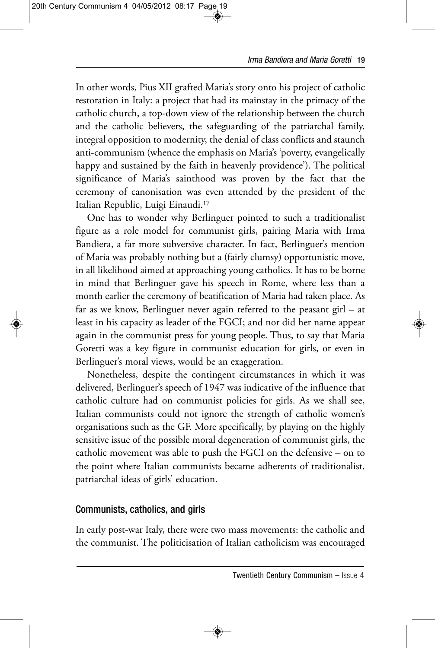In other words, Pius XII grafted Maria's story onto his project of catholic restoration in Italy: a project that had its mainstay in the primacy of the catholic church, a top-down view of the relationship between the church and the catholic believers, the safeguarding of the patriarchal family, integral opposition to modernity, the denial of class conflicts and staunch anti-communism (whence the emphasis on Maria's 'poverty, evangelically happy and sustained by the faith in heavenly providence'). The political significance of Maria's sainthood was proven by the fact that the ceremony of canonisation was even attended by the president of the Italian Republic, Luigi Einaudi.17

One has to wonder why Berlinguer pointed to such a traditionalist figure as a role model for communist girls, pairing Maria with Irma Bandiera, a far more subversive character. In fact, Berlinguer's mention of Maria was probably nothing but a (fairly clumsy) opportunistic move, in all likelihood aimed at approaching young catholics. It has to be borne in mind that Berlinguer gave his speech in Rome, where less than a month earlier the ceremony of beatification of Maria had taken place. As far as we know, Berlinguer never again referred to the peasant girl – at least in his capacity as leader of the FGCI; and nor did her name appear again in the communist press for young people. Thus, to say that Maria Goretti was a key figure in communist education for girls, or even in Berlinguer's moral views, would be an exaggeration.

Nonetheless, despite the contingent circumstances in which it was delivered, Berlinguer's speech of 1947 was indicative of the influence that catholic culture had on communist policies for girls. As we shall see, Italian communists could not ignore the strength of catholic women's organisations such as the GF. More specifically, by playing on the highly sensitive issue of the possible moral degeneration of communist girls, the catholic movement was able to push the FGCI on the defensive – on to the point where Italian communists became adherents of traditionalist, patriarchal ideas of girls' education.

## Communists, catholics, and girls

In early post-war Italy, there were two mass movements: the catholic and the communist. The politicisation of Italian catholicism was encouraged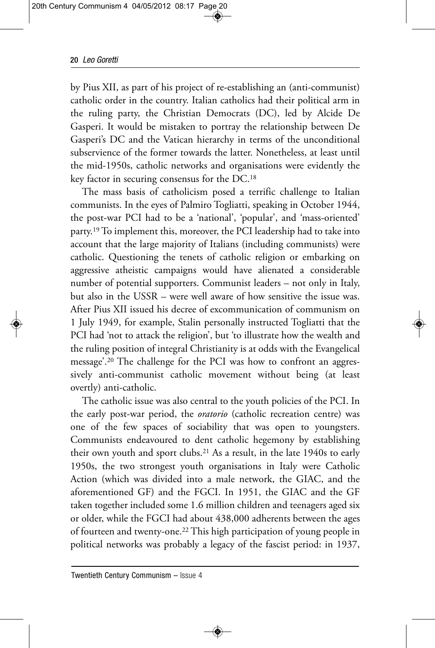by Pius XII, as part of his project of re-establishing an (anti-communist) catholic order in the country. Italian catholics had their political arm in the ruling party, the Christian Democrats (DC), led by Alcide De Gasperi. It would be mistaken to portray the relationship between De Gasperi's DC and the Vatican hierarchy in terms of the unconditional subservience of the former towards the latter. Nonetheless, at least until the mid-1950s, catholic networks and organisations were evidently the key factor in securing consensus for the DC.18

The mass basis of catholicism posed a terrific challenge to Italian communists. In the eyes of Palmiro Togliatti, speaking in October 1944, the post-war PCI had to be a 'national', 'popular', and 'mass-oriented' party.19 To implement this, moreover, the PCI leadership had to take into account that the large majority of Italians (including communists) were catholic. Questioning the tenets of catholic religion or embarking on aggressive atheistic campaigns would have alienated a considerable number of potential supporters. Communist leaders – not only in Italy, but also in the USSR – were well aware of how sensitive the issue was. After Pius XII issued his decree of excommunication of communism on 1 July 1949, for example, Stalin personally instructed Togliatti that the PCI had 'not to attack the religion', but 'to illustrate how the wealth and the ruling position of integral Christianity is at odds with the Evangelical message'.20 The challenge for the PCI was how to confront an aggressively anti-communist catholic movement without being (at least overtly) anti-catholic.

The catholic issue was also central to the youth policies of the PCI. In the early post-war period, the *oratorio* (catholic recreation centre) was one of the few spaces of sociability that was open to youngsters. Communists endeavoured to dent catholic hegemony by establishing their own youth and sport clubs.21 As a result, in the late 1940s to early 1950s, the two strongest youth organisations in Italy were Catholic Action (which was divided into a male network, the GIAC, and the aforementioned GF) and the FGCI. In 1951, the GIAC and the GF taken together included some 1.6 million children and teenagers aged six or older, while the FGCI had about 438,000 adherents between the ages of fourteen and twenty-one.22 This high participation of young people in political networks was probably a legacy of the fascist period: in 1937,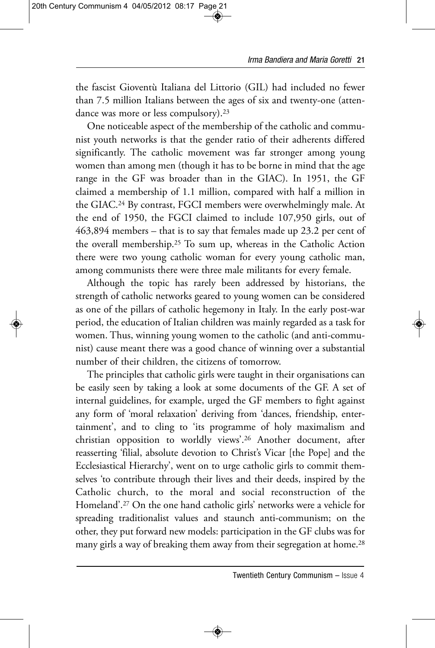the fascist Gioventù Italiana del Littorio (GIL) had included no fewer than 7.5 million Italians between the ages of six and twenty-one (attendance was more or less compulsory).23

One noticeable aspect of the membership of the catholic and communist youth networks is that the gender ratio of their adherents differed significantly. The catholic movement was far stronger among young women than among men (though it has to be borne in mind that the age range in the GF was broader than in the GIAC). In 1951, the GF claimed a membership of 1.1 million, compared with half a million in the GIAC.24 By contrast, FGCI members were overwhelmingly male. At the end of 1950, the FGCI claimed to include 107,950 girls, out of 463,894 members – that is to say that females made up 23.2 per cent of the overall membership.25 To sum up, whereas in the Catholic Action there were two young catholic woman for every young catholic man, among communists there were three male militants for every female.

Although the topic has rarely been addressed by historians, the strength of catholic networks geared to young women can be considered as one of the pillars of catholic hegemony in Italy. In the early post-war period, the education of Italian children was mainly regarded as a task for women. Thus, winning young women to the catholic (and anti-communist) cause meant there was a good chance of winning over a substantial number of their children, the citizens of tomorrow.

The principles that catholic girls were taught in their organisations can be easily seen by taking a look at some documents of the GF. A set of internal guidelines, for example, urged the GF members to fight against any form of 'moral relaxation' deriving from 'dances, friendship, entertainment', and to cling to 'its programme of holy maximalism and christian opposition to worldly views'.26 Another document, after reasserting 'filial, absolute devotion to Christ's Vicar [the Pope] and the Ecclesiastical Hierarchy', went on to urge catholic girls to commit themselves 'to contribute through their lives and their deeds, inspired by the Catholic church, to the moral and social reconstruction of the Homeland'.27 On the one hand catholic girls' networks were a vehicle for spreading traditionalist values and staunch anti-communism; on the other, they put forward new models: participation in the GF clubs was for many girls a way of breaking them away from their segregation at home.<sup>28</sup>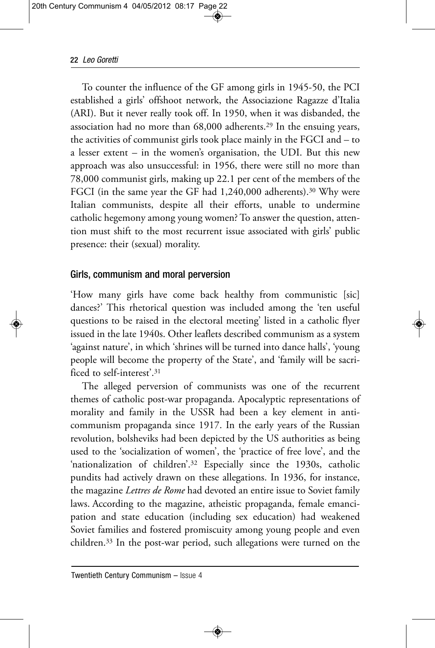To counter the influence of the GF among girls in 1945-50, the PCI established a girls' offshoot network, the Associazione Ragazze d'Italia (ARI). But it never really took off. In 1950, when it was disbanded, the association had no more than 68,000 adherents.29 In the ensuing years, the activities of communist girls took place mainly in the FGCI and – to a lesser extent – in the women's organisation, the UDI. But this new approach was also unsuccessful: in 1956, there were still no more than 78,000 communist girls, making up 22.1 per cent of the members of the FGCI (in the same year the GF had 1,240,000 adherents).<sup>30</sup> Why were Italian communists, despite all their efforts, unable to undermine catholic hegemony among young women? To answer the question, attention must shift to the most recurrent issue associated with girls' public presence: their (sexual) morality.

## Girls, communism and moral perversion

'How many girls have come back healthy from communistic [sic] dances?' This rhetorical question was included among the 'ten useful questions to be raised in the electoral meeting' listed in a catholic flyer issued in the late 1940s. Other leaflets described communism as a system 'against nature', in which 'shrines will be turned into dance halls', 'young people will become the property of the State', and 'family will be sacrificed to self-interest'.31

The alleged perversion of communists was one of the recurrent themes of catholic post-war propaganda. Apocalyptic representations of morality and family in the USSR had been a key element in anticommunism propaganda since 1917. In the early years of the Russian revolution, bolsheviks had been depicted by the US authorities as being used to the 'socialization of women', the 'practice of free love', and the 'nationalization of children'.32 Especially since the 1930s, catholic pundits had actively drawn on these allegations. In 1936, for instance, the magazine *Lettres de Rome* had devoted an entire issue to Soviet family laws. According to the magazine, atheistic propaganda, female emancipation and state education (including sex education) had weakened Soviet families and fostered promiscuity among young people and even children.33 In the post-war period, such allegations were turned on the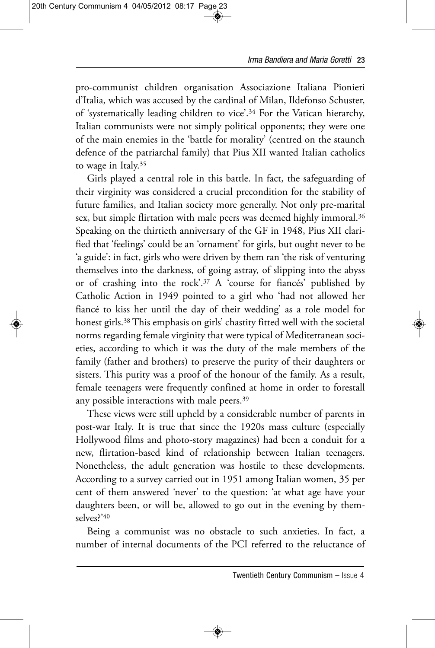pro-communist children organisation Associazione Italiana Pionieri d'Italia, which was accused by the cardinal of Milan, Ildefonso Schuster, of 'systematically leading children to vice'.34 For the Vatican hierarchy, Italian communists were not simply political opponents; they were one of the main enemies in the 'battle for morality' (centred on the staunch defence of the patriarchal family) that Pius XII wanted Italian catholics to wage in Italy.35

Girls played a central role in this battle. In fact, the safeguarding of their virginity was considered a crucial precondition for the stability of future families, and Italian society more generally. Not only pre-marital sex, but simple flirtation with male peers was deemed highly immoral.<sup>36</sup> Speaking on the thirtieth anniversary of the GF in 1948, Pius XII clarified that 'feelings' could be an 'ornament' for girls, but ought never to be 'a guide': in fact, girls who were driven by them ran 'the risk of venturing themselves into the darkness, of going astray, of slipping into the abyss or of crashing into the rock'.37 A 'course for fiancés' published by Catholic Action in 1949 pointed to a girl who 'had not allowed her fiancé to kiss her until the day of their wedding' as a role model for honest girls.38 This emphasis on girls' chastity fitted well with the societal norms regarding female virginity that were typical of Mediterranean societies, according to which it was the duty of the male members of the family (father and brothers) to preserve the purity of their daughters or sisters. This purity was a proof of the honour of the family. As a result, female teenagers were frequently confined at home in order to forestall any possible interactions with male peers.39

These views were still upheld by a considerable number of parents in post-war Italy. It is true that since the 1920s mass culture (especially Hollywood films and photo-story magazines) had been a conduit for a new, flirtation-based kind of relationship between Italian teenagers. Nonetheless, the adult generation was hostile to these developments. According to a survey carried out in 1951 among Italian women, 35 per cent of them answered 'never' to the question: 'at what age have your daughters been, or will be, allowed to go out in the evening by themselves?'40

Being a communist was no obstacle to such anxieties. In fact, a number of internal documents of the PCI referred to the reluctance of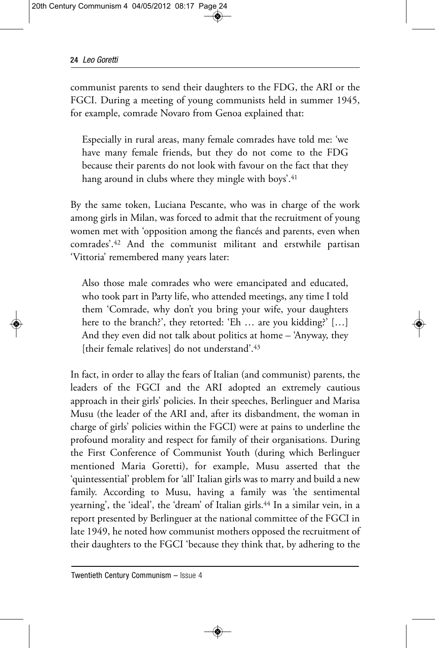communist parents to send their daughters to the FDG, the ARI or the FGCI. During a meeting of young communists held in summer 1945, for example, comrade Novaro from Genoa explained that:

Especially in rural areas, many female comrades have told me: 'we have many female friends, but they do not come to the FDG because their parents do not look with favour on the fact that they hang around in clubs where they mingle with boys'.<sup>41</sup>

By the same token, Luciana Pescante, who was in charge of the work among girls in Milan, was forced to admit that the recruitment of young women met with 'opposition among the fiancés and parents, even when comrades'.42 And the communist militant and erstwhile partisan 'Vittoria' remembered many years later:

Also those male comrades who were emancipated and educated, who took part in Party life, who attended meetings, any time I told them 'Comrade, why don't you bring your wife, your daughters here to the branch?', they retorted: 'Eh ... are you kidding?' [...] And they even did not talk about politics at home – 'Anyway, they [their female relatives] do not understand'.<sup>43</sup>

In fact, in order to allay the fears of Italian (and communist) parents, the leaders of the FGCI and the ARI adopted an extremely cautious approach in their girls' policies. In their speeches, Berlinguer and Marisa Musu (the leader of the ARI and, after its disbandment, the woman in charge of girls' policies within the FGCI) were at pains to underline the profound morality and respect for family of their organisations. During the First Conference of Communist Youth (during which Berlinguer mentioned Maria Goretti), for example, Musu asserted that the 'quintessential' problem for 'all' Italian girls was to marry and build a new family. According to Musu, having a family was 'the sentimental yearning', the 'ideal', the 'dream' of Italian girls.<sup>44</sup> In a similar vein, in a report presented by Berlinguer at the national committee of the FGCI in late 1949, he noted how communist mothers opposed the recruitment of their daughters to the FGCI 'because they think that, by adhering to the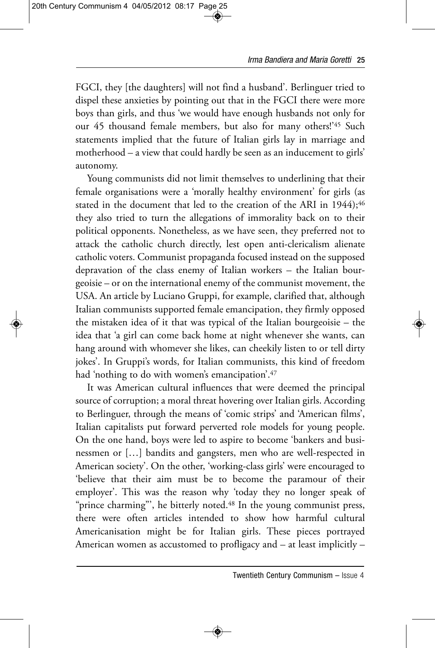FGCI, they [the daughters] will not find a husband'. Berlinguer tried to dispel these anxieties by pointing out that in the FGCI there were more boys than girls, and thus 'we would have enough husbands not only for our 45 thousand female members, but also for many others!'45 Such statements implied that the future of Italian girls lay in marriage and motherhood – a view that could hardly be seen as an inducement to girls' autonomy.

Young communists did not limit themselves to underlining that their female organisations were a 'morally healthy environment' for girls (as stated in the document that led to the creation of the ARI in  $1944$ );<sup>46</sup> they also tried to turn the allegations of immorality back on to their political opponents. Nonetheless, as we have seen, they preferred not to attack the catholic church directly, lest open anti-clericalism alienate catholic voters. Communist propaganda focused instead on the supposed depravation of the class enemy of Italian workers – the Italian bourgeoisie – or on the international enemy of the communist movement, the USA. An article by Luciano Gruppi, for example, clarified that, although Italian communists supported female emancipation, they firmly opposed the mistaken idea of it that was typical of the Italian bourgeoisie – the idea that 'a girl can come back home at night whenever she wants, can hang around with whomever she likes, can cheekily listen to or tell dirty jokes'. In Gruppi's words, for Italian communists, this kind of freedom had 'nothing to do with women's emancipation'.<sup>47</sup>

It was American cultural influences that were deemed the principal source of corruption; a moral threat hovering over Italian girls. According to Berlinguer, through the means of 'comic strips' and 'American films', Italian capitalists put forward perverted role models for young people. On the one hand, boys were led to aspire to become 'bankers and businessmen or […] bandits and gangsters, men who are well-respected in American society'. On the other, 'working-class girls' were encouraged to 'believe that their aim must be to become the paramour of their employer'. This was the reason why 'today they no longer speak of "prince charming"', he bitterly noted.<sup>48</sup> In the young communist press, there were often articles intended to show how harmful cultural Americanisation might be for Italian girls. These pieces portrayed American women as accustomed to profligacy and – at least implicitly –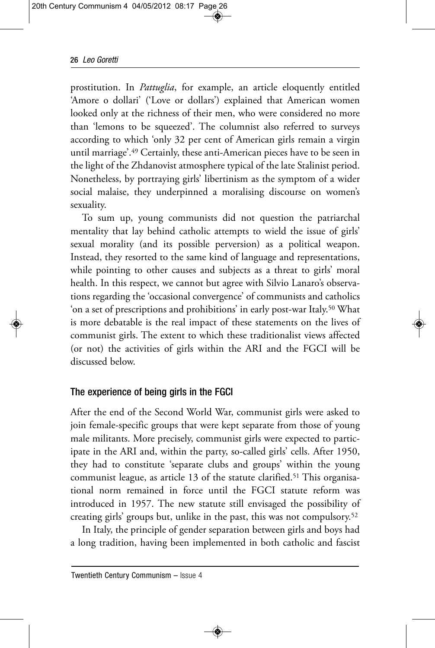prostitution. In *Pattuglia*, for example, an article eloquently entitled 'Amore o dollari' ('Love or dollars') explained that American women looked only at the richness of their men, who were considered no more than 'lemons to be squeezed'. The columnist also referred to surveys according to which 'only 32 per cent of American girls remain a virgin until marriage'.49 Certainly, these anti-American pieces have to be seen in the light of the Zhdanovist atmosphere typical of the late Stalinist period. Nonetheless, by portraying girls' libertinism as the symptom of a wider social malaise, they underpinned a moralising discourse on women's sexuality.

To sum up, young communists did not question the patriarchal mentality that lay behind catholic attempts to wield the issue of girls' sexual morality (and its possible perversion) as a political weapon. Instead, they resorted to the same kind of language and representations, while pointing to other causes and subjects as a threat to girls' moral health. In this respect, we cannot but agree with Silvio Lanaro's observations regarding the 'occasional convergence' of communists and catholics 'on a set of prescriptions and prohibitions' in early post-war Italy.50 What is more debatable is the real impact of these statements on the lives of communist girls. The extent to which these traditionalist views affected (or not) the activities of girls within the ARI and the FGCI will be discussed below.

## The experience of being girls in the FGCI

After the end of the Second World War, communist girls were asked to join female-specific groups that were kept separate from those of young male militants. More precisely, communist girls were expected to participate in the ARI and, within the party, so-called girls' cells. After 1950, they had to constitute 'separate clubs and groups' within the young communist league, as article 13 of the statute clarified.<sup>51</sup> This organisational norm remained in force until the FGCI statute reform was introduced in 1957. The new statute still envisaged the possibility of creating girls' groups but, unlike in the past, this was not compulsory.52

In Italy, the principle of gender separation between girls and boys had a long tradition, having been implemented in both catholic and fascist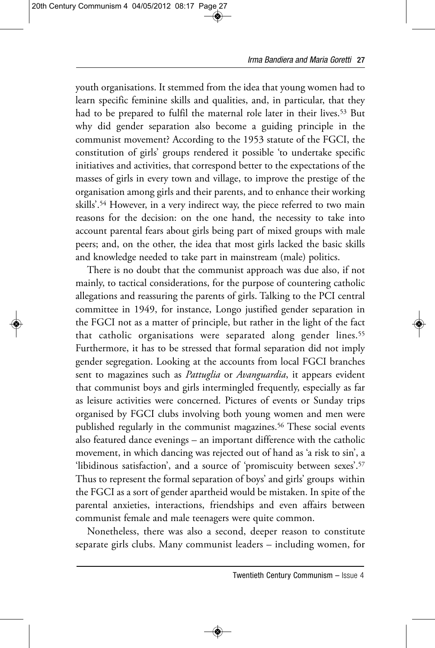youth organisations. It stemmed from the idea that young women had to learn specific feminine skills and qualities, and, in particular, that they had to be prepared to fulfil the maternal role later in their lives.<sup>53</sup> But why did gender separation also become a guiding principle in the communist movement? According to the 1953 statute of the FGCI, the constitution of girls' groups rendered it possible 'to undertake specific initiatives and activities, that correspond better to the expectations of the masses of girls in every town and village, to improve the prestige of the organisation among girls and their parents, and to enhance their working skills'.54 However, in a very indirect way, the piece referred to two main reasons for the decision: on the one hand, the necessity to take into account parental fears about girls being part of mixed groups with male peers; and, on the other, the idea that most girls lacked the basic skills and knowledge needed to take part in mainstream (male) politics.

There is no doubt that the communist approach was due also, if not mainly, to tactical considerations, for the purpose of countering catholic allegations and reassuring the parents of girls. Talking to the PCI central committee in 1949, for instance, Longo justified gender separation in the FGCI not as a matter of principle, but rather in the light of the fact that catholic organisations were separated along gender lines.<sup>55</sup> Furthermore, it has to be stressed that formal separation did not imply gender segregation. Looking at the accounts from local FGCI branches sent to magazines such as *Pattuglia* or *Avanguardia*, it appears evident that communist boys and girls intermingled frequently, especially as far as leisure activities were concerned. Pictures of events or Sunday trips organised by FGCI clubs involving both young women and men were published regularly in the communist magazines.<sup>56</sup> These social events also featured dance evenings – an important difference with the catholic movement, in which dancing was rejected out of hand as 'a risk to sin', a 'libidinous satisfaction', and a source of 'promiscuity between sexes'.<sup>57</sup> Thus to represent the formal separation of boys' and girls' groups within the FGCI as a sort of gender apartheid would be mistaken. In spite of the parental anxieties, interactions, friendships and even affairs between communist female and male teenagers were quite common.

Nonetheless, there was also a second, deeper reason to constitute separate girls clubs. Many communist leaders – including women, for

Twentieth Century Communism – Issue 4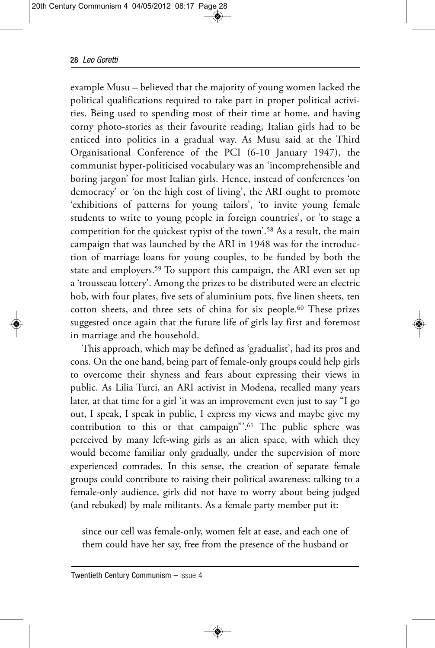example Musu – believed that the majority of young women lacked the political qualifications required to take part in proper political activities. Being used to spending most of their time at home, and having corny photo-stories as their favourite reading, Italian girls had to be enticed into politics in a gradual way. As Musu said at the Third Organisational Conference of the PCI (6*-*10 January 1947), the communist hyper-politicised vocabulary was an 'incomprehensible and boring jargon' for most Italian girls. Hence, instead of conferences 'on democracy' or 'on the high cost of living', the ARI ought to promote 'exhibitions of patterns for young tailors', 'to invite young female students to write to young people in foreign countries', or 'to stage a competition for the quickest typist of the town'.58 As a result, the main campaign that was launched by the ARI in 1948 was for the introduction of marriage loans for young couples, to be funded by both the state and employers.59 To support this campaign, the ARI even set up a 'trousseau lottery'. Among the prizes to be distributed were an electric hob, with four plates, five sets of aluminium pots, five linen sheets, ten cotton sheets, and three sets of china for six people.60 These prizes suggested once again that the future life of girls lay first and foremost in marriage and the household.

This approach, which may be defined as 'gradualist', had its pros and cons. On the one hand, being part of female-only groups could help girls to overcome their shyness and fears about expressing their views in public. As Lilia Turci, an ARI activist in Modena, recalled many years later, at that time for a girl 'it was an improvement even just to say "I go out, I speak, I speak in public, I express my views and maybe give my contribution to this or that campaign"'.61 The public sphere was perceived by many left-wing girls as an alien space, with which they would become familiar only gradually, under the supervision of more experienced comrades. In this sense, the creation of separate female groups could contribute to raising their political awareness: talking to a female-only audience, girls did not have to worry about being judged (and rebuked) by male militants. As a female party member put it:

since our cell was female-only, women felt at ease, and each one of them could have her say, free from the presence of the husband or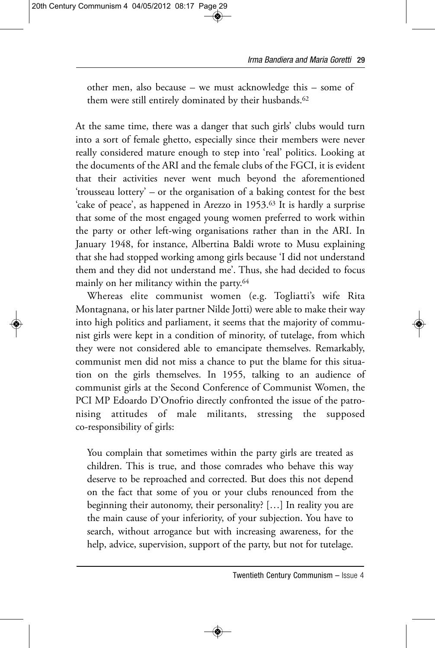other men, also because – we must acknowledge this – some of them were still entirely dominated by their husbands.<sup>62</sup>

At the same time, there was a danger that such girls' clubs would turn into a sort of female ghetto, especially since their members were never really considered mature enough to step into 'real' politics. Looking at the documents of the ARI and the female clubs of the FGCI, it is evident that their activities never went much beyond the aforementioned 'trousseau lottery' *–* or the organisation of a baking contest for the best 'cake of peace', as happened in Arezzo in 1953.63 It is hardly a surprise that some of the most engaged young women preferred to work within the party or other left-wing organisations rather than in the ARI. In January 1948, for instance, Albertina Baldi wrote to Musu explaining that she had stopped working among girls because 'I did not understand them and they did not understand me'. Thus, she had decided to focus mainly on her militancy within the party.<sup>64</sup>

Whereas elite communist women (e.g. Togliatti's wife Rita Montagnana, or his later partner Nilde Jotti) were able to make their way into high politics and parliament, it seems that the majority of communist girls were kept in a condition of minority, of tutelage, from which they were not considered able to emancipate themselves. Remarkably, communist men did not miss a chance to put the blame for this situation on the girls themselves. In 1955, talking to an audience of communist girls at the Second Conference of Communist Women, the PCI MP Edoardo D'Onofrio directly confronted the issue of the patronising attitudes of male militants, stressing the supposed co-responsibility of girls:

You complain that sometimes within the party girls are treated as children. This is true, and those comrades who behave this way deserve to be reproached and corrected. But does this not depend on the fact that some of you or your clubs renounced from the beginning their autonomy, their personality? […] In reality you are the main cause of your inferiority, of your subjection. You have to search, without arrogance but with increasing awareness, for the help, advice, supervision, support of the party, but not for tutelage.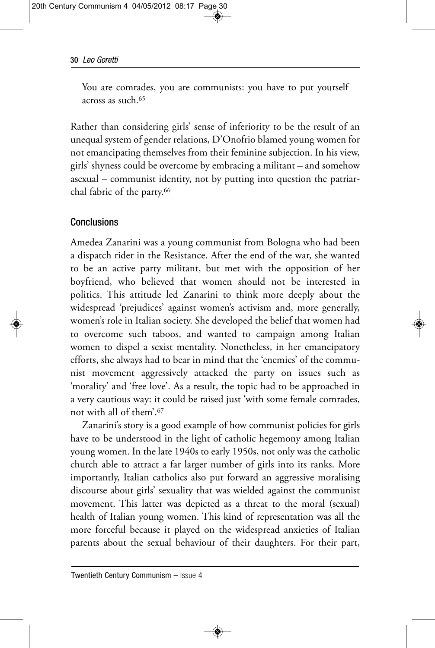You are comrades, you are communists: you have to put yourself across as such.65

Rather than considering girls' sense of inferiority to be the result of an unequal system of gender relations, D'Onofrio blamed young women for not emancipating themselves from their feminine subjection. In his view, girls' shyness could be overcome by embracing a militant *–* and somehow asexual *–* communist identity, not by putting into question the patriarchal fabric of the party.<sup>66</sup>

## **Conclusions**

Amedea Zanarini was a young communist from Bologna who had been a dispatch rider in the Resistance. After the end of the war, she wanted to be an active party militant, but met with the opposition of her boyfriend, who believed that women should not be interested in politics. This attitude led Zanarini to think more deeply about the widespread 'prejudices' against women's activism and, more generally, women's role in Italian society. She developed the belief that women had to overcome such taboos, and wanted to campaign among Italian women to dispel a sexist mentality. Nonetheless, in her emancipatory efforts, she always had to bear in mind that the 'enemies' of the communist movement aggressively attacked the party on issues such as 'morality' and 'free love'. As a result, the topic had to be approached in a very cautious way: it could be raised just 'with some female comrades, not with all of them'.67

Zanarini's story is a good example of how communist policies for girls have to be understood in the light of catholic hegemony among Italian young women. In the late 1940s to early 1950s, not only was the catholic church able to attract a far larger number of girls into its ranks. More importantly, Italian catholics also put forward an aggressive moralising discourse about girls' sexuality that was wielded against the communist movement. This latter was depicted as a threat to the moral (sexual) health of Italian young women. This kind of representation was all the more forceful because it played on the widespread anxieties of Italian parents about the sexual behaviour of their daughters. For their part,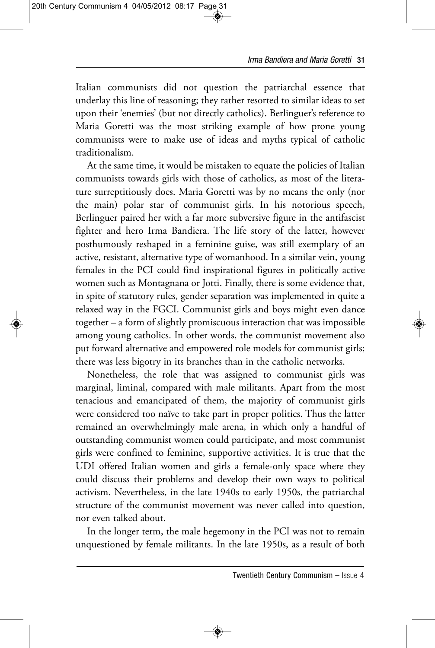Italian communists did not question the patriarchal essence that underlay this line of reasoning; they rather resorted to similar ideas to set upon their 'enemies' (but not directly catholics). Berlinguer's reference to Maria Goretti was the most striking example of how prone young communists were to make use of ideas and myths typical of catholic traditionalism.

At the same time, it would be mistaken to equate the policies of Italian communists towards girls with those of catholics, as most of the literature surreptitiously does. Maria Goretti was by no means the only (nor the main) polar star of communist girls. In his notorious speech, Berlinguer paired her with a far more subversive figure in the antifascist fighter and hero Irma Bandiera. The life story of the latter, however posthumously reshaped in a feminine guise, was still exemplary of an active, resistant, alternative type of womanhood. In a similar vein, young females in the PCI could find inspirational figures in politically active women such as Montagnana or Jotti. Finally, there is some evidence that, in spite of statutory rules, gender separation was implemented in quite a relaxed way in the FGCI. Communist girls and boys might even dance together *–* a form of slightly promiscuous interaction that was impossible among young catholics. In other words, the communist movement also put forward alternative and empowered role models for communist girls; there was less bigotry in its branches than in the catholic networks.

Nonetheless, the role that was assigned to communist girls was marginal, liminal, compared with male militants. Apart from the most tenacious and emancipated of them, the majority of communist girls were considered too naïve to take part in proper politics. Thus the latter remained an overwhelmingly male arena, in which only a handful of outstanding communist women could participate, and most communist girls were confined to feminine, supportive activities. It is true that the UDI offered Italian women and girls a female-only space where they could discuss their problems and develop their own ways to political activism. Nevertheless, in the late 1940s to early 1950s, the patriarchal structure of the communist movement was never called into question, nor even talked about.

In the longer term, the male hegemony in the PCI was not to remain unquestioned by female militants. In the late 1950s, as a result of both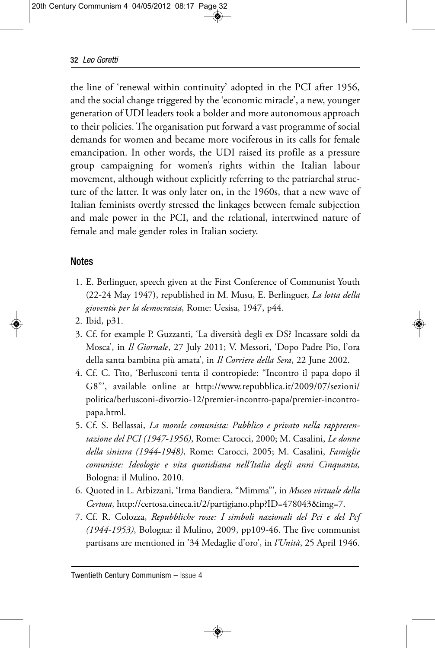the line of 'renewal within continuity' adopted in the PCI after 1956, and the social change triggered by the 'economic miracle', a new, younger generation of UDI leaders took a bolder and more autonomous approach to their policies. The organisation put forward a vast programme of social demands for women and became more vociferous in its calls for female emancipation. In other words, the UDI raised its profile as a pressure group campaigning for women's rights within the Italian labour movement, although without explicitly referring to the patriarchal structure of the latter. It was only later on, in the 1960s, that a new wave of Italian feminists overtly stressed the linkages between female subjection and male power in the PCI, and the relational, intertwined nature of female and male gender roles in Italian society.

## Notes

- 1. E. Berlinguer, speech given at the First Conference of Communist Youth (22-24 May 1947), republished in M. Musu, E. Berlinguer, *La lotta della gioventù per la democrazia*, Rome: Uesisa, 1947, p44.
- 2. Ibid, p31.
- 3. Cf. for example P. Guzzanti, 'La diversità degli ex DS? Incassare soldi da Mosca', in *Il Giornale*, 27 July 2011; V. Messori, 'Dopo Padre Pio, l'ora della santa bambina più amata', in *Il Corriere della Sera*, 22 June 2002.
- 4. Cf. C. Tito, 'Berlusconi tenta il contropiede: "Incontro il papa dopo il G8"', available online at http://www.repubblica.it/2009/07/sezioni/ politica/berlusconi-divorzio-12/premier-incontro-papa/premier-incontropapa.html.
- 5. Cf. S. Bellassai, *La morale comunista: Pubblico e privato nella rappresentazione del PCI (1947-1956)*, Rome: Carocci, 2000; M. Casalini, *Le donne della sinistra (1944-1948)*, Rome: Carocci, 2005; M. Casalini, *Famiglie comuniste: Ideologie e vita quotidiana nell'Italia degli anni Cinquanta,* Bologna: il Mulino, 2010.
- 6. Quoted in L. Arbizzani, 'Irma Bandiera, "Mimma"', in *Museo virtuale della Certosa*, http://certosa.cineca.it/2/partigiano.php?ID=478043&img=7.
- 7. Cf. R. Colozza, *Repubbliche rosse: I simboli nazionali del Pci e del Pcf (1944-1953)*, Bologna: il Mulino, 2009, pp109-46. The five communist partisans are mentioned in '34 Medaglie d'oro', in *l'Unità*, 25 April 1946.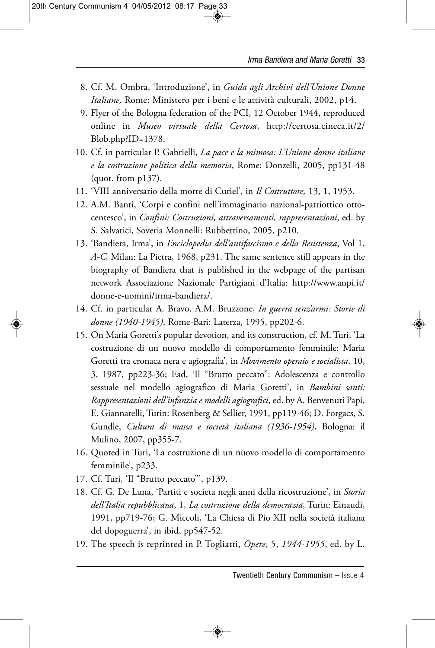- 8. Cf. M. Ombra, 'Introduzione', in *Guida agli Archivi dell'Unione Donne Italiane,* Rome: Ministero per i beni e le attività culturali, 2002, p14.
- 9. Flyer of the Bologna federation of the PCI, 12 October 1944, reproduced online in *Museo virtuale della Certosa*, http://certosa.cineca.it/2/ Blob.php?ID=1378.
- 10. Cf. in particular P. Gabrielli, *La pace e la mimosa: L'Unione donne italiane e la costruzione politica della memoria*, Rome: Donzelli, 2005, pp131-48 (quot. from p137).
- 11. 'VIII anniversario della morte di Curiel', in *Il Costruttore,* 13, 1, 1953.
- 12. A.M. Banti, 'Corpi e confini nell'immaginario nazional-patriottico ottocentesco', in *Confini: Costruzioni, attraversamenti, rappresentazioni*, ed. by S. Salvatici, Soveria Monnelli: Rubbettino, 2005, p210.
- 13. 'Bandiera, Irma', in *Enciclopedia dell'antifascismo e della Resistenza*, Vol 1, *A-C,* Milan: La Pietra, 1968, p231. The same sentence still appears in the biography of Bandiera that is published in the webpage of the partisan network Associazione Nazionale Partigiani d'Italia: http://www.anpi.it/ donne-e-uomini/irma-bandiera/.
- 14. Cf. in particular A. Bravo, A.M. Bruzzone, *In guerra senz'armi: Storie di donne (1940-1945)*, Rome-Bari: Laterza, 1995, pp202-6.
- 15. On Maria Goretti's popular devotion, and its construction, cf. M. Turi, 'La costruzione di un nuovo modello di comportamento femminile: Maria Goretti tra cronaca nera e agiografia', in *Movimento operaio e socialista*, 10, 3, 1987, pp223-36; Ead, 'Il "Brutto peccato": Adolescenza e controllo sessuale nel modello agiografico di Maria Goretti', in *Bambini santi: Rappresentazioni dell'infanzia e modelli agiografici*, ed. by A. Benvenuti Papi, E. Giannarelli, Turin: Rosenberg & Sellier, 1991, pp119-46; D. Forgacs, S. Gundle, *Cultura di massa e società italiana (1936-1954)*, Bologna: il Mulino, 2007, pp355-7.
- 16. Quoted in Turi, 'La costruzione di un nuovo modello di comportamento femminile', p233.
- 17. Cf. Turi, 'Il "Brutto peccato"', p139.
- 18. Cf. G. De Luna, 'Partiti e societa negli anni della ricostruzione', in *Storia dell'Italia repubblicana*, 1, *La costruzione della democrazia*, Turin: Einaudi, 1991, pp719-76; G. Miccoli, 'La Chiesa di Pio XII nella società italiana del dopoguerra', in ibid, pp547-52.
- 19. The speech is reprinted in P. Togliatti, *Opere*, 5, *1944*-*1955*, ed. by L.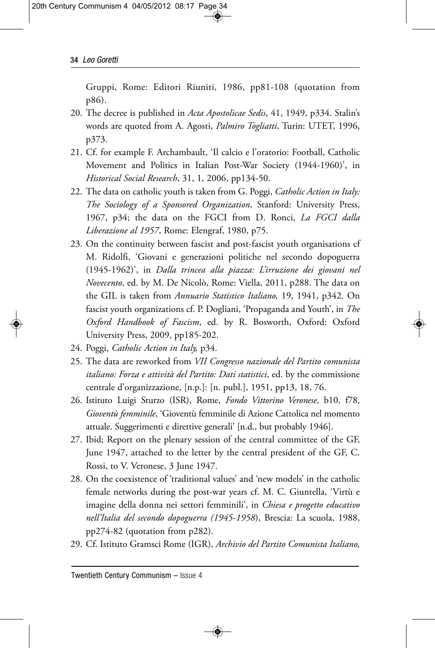Gruppi, Rome: Editori Riuniti, 1986, pp81-108 (quotation from p86).

- 20. The decree is published in *Acta Apostolicae Sedis*, 41, 1949, p334. Stalin's words are quoted from A. Agosti, *Palmiro Togliatti*, Turin: UTET, 1996, p373.
- 21. Cf. for example F. Archambault, 'Il calcio e l'oratorio: Football, Catholic Movement and Politics in Italian Post-War Society (1944-1960)', in *Historical Social Research*, 31, 1, 2006, pp134-50.
- 22. The data on catholic youth is taken from G. Poggi, *Catholic Action in Italy: The Sociology of a Sponsored Organization*, Stanford: University Press, 1967, p34; the data on the FGCI from D. Ronci, *La FGCI dalla Liberazione al 1957*, Rome: Elengraf, 1980, p75.
- 23. On the continuity between fascist and post-fascist youth organisations cf M. Ridolfi, 'Giovani e generazioni politiche nel secondo dopoguerra (1945-1962)', in *Dalla trincea alla piazza: L'irruzione dei giovani nel Novecento*, ed. by M. De Nicolò, Rome: Viella, 2011, p288. The data on the GIL is taken from *Annuario Statistico Italiano,* 19, 1941, p342. On fascist youth organizations cf. P. Dogliani, 'Propaganda and Youth', in *The Oxford Handbook of Fascism*, ed. by R. Bosworth, Oxford: Oxford University Press, 2009, pp185-202.
- 24. Poggi, *Catholic Action in Italy,* p34.
- 25. The data are reworked from *VII Congresso nazionale del Partito comunista italiano: Forza e attività del Partito: Dati statistici*, ed. by the commissione centrale d'organizzazione, [n.p.]: [n. publ.], 1951, pp13, 18, 76.
- 26. Istituto Luigi Sturzo (ISR), Rome, *Fondo Vittorino Veronese*, b10, f78, *Gioventù femminile*, 'Gioventù femminile di Azione Cattolica nel momento attuale. Suggerimenti e direttive generali' [n.d., but probably 1946].
- 27. Ibid; Report on the plenary session of the central committee of the GF, June 1947, attached to the letter by the central president of the GF, C. Rossi, to V. Veronese, 3 June 1947.
- 28. On the coexistence of 'traditional values' and 'new models' in the catholic female networks during the post-war years cf. M. C. Giuntella, 'Virtù e imagine della donna nei settori femminili', in *Chiesa e progetto educativo nell'Italia del secondo dopoguerra (1945*-*1958*), Brescia: La scuola, 1988, pp274-82 (quotation from p282).
- 29. Cf. Istituto Gramsci Rome (IGR), *Archivio del Partito Comunista Italiano,*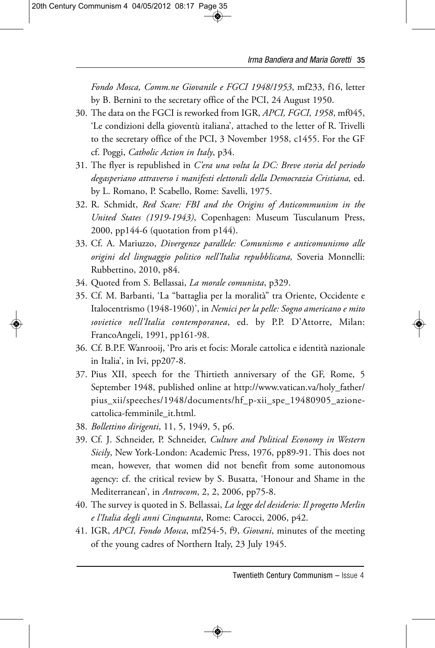*Fondo Mosca, Comm.ne Giovanile e FGCI 1948/1953*, mf233, f16, letter by B. Bernini to the secretary office of the PCI, 24 August 1950.

- 30. The data on the FGCI is reworked from IGR, *APCI, FGCI, 1958*, mf045, 'Le condizioni della gioventù italiana', attached to the letter of R. Trivelli to the secretary office of the PCI, 3 November 1958, c1455. For the GF cf. Poggi, *Catholic Action in Italy*, p34.
- 31. The flyer is republished in *C'era una volta la DC: Breve storia del periodo degasperiano attraverso i manifesti elettorali della Democrazia Cristiana,* ed. by L. Romano, P. Scabello, Rome: Savelli, 1975.
- 32. R. Schmidt, *Red Scare: FBI and the Origins of Anticommunism in the United States (1919*-*1943)*, Copenhagen: Museum Tusculanum Press, 2000, pp144-6 (quotation from p144).
- 33. Cf. A. Mariuzzo, *Divergenze parallele: Comunismo e anticomunismo alle origini del linguaggio politico nell'Italia repubblicana,* Soveria Monnelli: Rubbettino, 2010, p84.
- 34. Quoted from S. Bellassai, *La morale comunista*, p329.
- 35. Cf. M. Barbanti, 'La "battaglia per la moralità" tra Oriente, Occidente e Italocentrismo (1948-1960)', in *Nemici per la pelle: Sogno americano e mito sovietico nell'Italia contemporanea*, ed. by P.P. D'Attorre, Milan: FrancoAngeli, 1991, pp161-98.
- 36. Cf. B.P.F. Wanrooij, 'Pro aris et focis: Morale cattolica e identità nazionale in Italia', in Ivi, pp207-8.
- 37. Pius XII, speech for the Thirtieth anniversary of the GF, Rome, 5 September 1948, published online at http://www.vatican.va/holy\_father/ pius\_xii/speeches/1948/documents/hf\_p-xii\_spe\_19480905\_azionecattolica-femminile\_it.html.
- 38. *Bollettino dirigenti*, 11, 5, 1949, 5, p6.
- 39. Cf. J. Schneider, P. Schneider, *Culture and Political Economy in Western Sicily*, New York-London: Academic Press, 1976, pp89-91. This does not mean, however, that women did not benefit from some autonomous agency: cf. the critical review by S. Busatta, 'Honour and Shame in the Mediterranean', in *Antrocom*, 2, 2, 2006, pp75-8.
- 40. The survey is quoted in S. Bellassai, *La legge del desiderio: Il progetto Merlin e l'Italia degli anni Cinquanta*, Rome: Carocci, 2006, p42.
- 41. IGR, *APCI, Fondo Mosca*, mf254-5, f9, *Giovani*, minutes of the meeting of the young cadres of Northern Italy, 23 July 1945.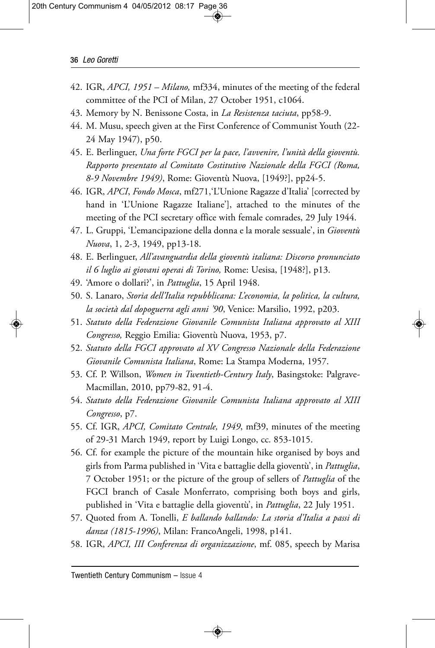- 42. IGR, *APCI, 1951 Milano,* mf334, minutes of the meeting of the federal committee of the PCI of Milan, 27 October 1951, c1064.
- 43. Memory by N. Benissone Costa, in *La Resistenza taciuta*, pp58-9.
- 44. M. Musu, speech given at the First Conference of Communist Youth (22- 24 May 1947), p50.
- 45. E. Berlinguer, *Una forte FGCI per la pace, l'avvenire, l'unità della gioventù. Rapporto presentato al Comitato Costitutivo Nazionale della FGCI (Roma, 8-9 Novembre 1949)*, Rome: Gioventù Nuova, [1949?], pp24-5.
- 46. IGR, *APCI*, *Fondo Mosca*, mf271,'L'Unione Ragazze d'Italia' [corrected by hand in 'L'Unione Ragazze Italiane'], attached to the minutes of the meeting of the PCI secretary office with female comrades, 29 July 1944.
- 47. L. Gruppi, 'L'emancipazione della donna e la morale sessuale', in *Gioventù Nuova*, 1, 2-3, 1949, pp13*-*18.
- 48. E. Berlinguer, *All'avanguardia della gioventù italiana: Discorso pronunciato il 6 luglio ai giovani operai di Torino,* Rome: Uesisa, [1948?], p13.
- 49. 'Amore o dollari?', in *Pattuglia*, 15 April 1948.
- 50. S. Lanaro, *Storia dell'Italia repubblicana: L'economia, la politica, la cultura, la società dal dopoguerra agli anni '90*, Venice: Marsilio, 1992, p203.
- 51. *Statuto della Federazione Giovanile Comunista Italiana approvato al XIII Congresso,* Reggio Emilia: Gioventù Nuova, 1953, p7.
- 52. *Statuto della FGCI approvato al XV Congresso Nazionale della Federazione Giovanile Comunista Italiana*, Rome: La Stampa Moderna, 1957.
- 53. Cf. P. Willson, *Women in Twentieth-Century Italy*, Basingstoke: Palgrave*-*Macmillan, 2010, pp79*-*82, 91*-*4.
- 54. *Statuto della Federazione Giovanile Comunista Italiana approvato al XIII Congresso*, p7.
- 55. Cf. IGR, *APCI, Comitato Centrale, 1949*, mf39, minutes of the meeting of 29*-*31 March 1949, report by Luigi Longo, cc. 853*-*1015.
- 56. Cf. for example the picture of the mountain hike organised by boys and girls from Parma published in 'Vita e battaglie della gioventù', in *Pattuglia*, 7 October 1951; or the picture of the group of sellers of *Pattuglia* of the FGCI branch of Casale Monferrato, comprising both boys and girls, published in 'Vita e battaglie della gioventù', in *Pattuglia*, 22 July 1951.
- 57. Quoted from A. Tonelli, *E ballando ballando: La storia d'Italia a passi di danza (1815*-*1996)*, Milan: FrancoAngeli, 1998, p141.
- 58. IGR, *APCI, III Conferenza di organizzazione*, mf. 085, speech by Marisa